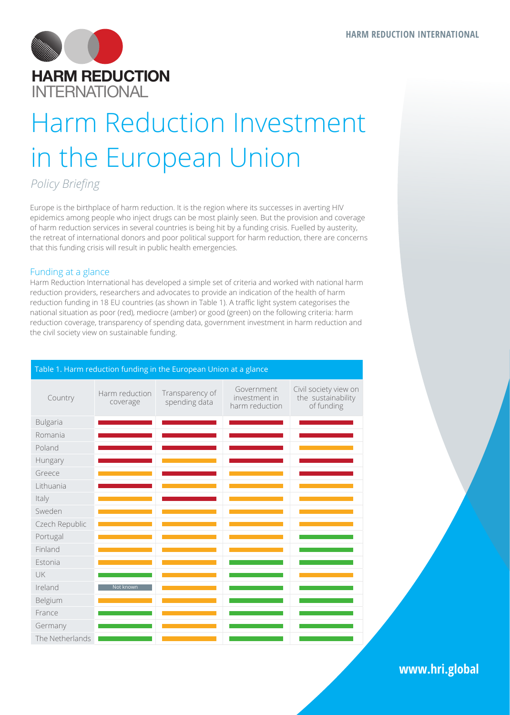

# Harm Reduction Investment in the European Union

*Policy Briefing*

Europe is the birthplace of harm reduction. It is the region where its successes in averting HIV epidemics among people who inject drugs can be most plainly seen. But the provision and coverage of harm reduction services in several countries is being hit by a funding crisis. Fuelled by austerity, the retreat of international donors and poor political support for harm reduction, there are concerns that this funding crisis will result in public health emergencies.

## Funding at a glance

Harm Reduction International has developed a simple set of criteria and worked with national harm reduction providers, researchers and advocates to provide an indication of the health of harm reduction funding in 18 EU countries (as shown in Table 1). A traffic light system categorises the national situation as poor (red), mediocre (amber) or good (green) on the following criteria: harm reduction coverage, transparency of spending data, government investment in harm reduction and the civil society view on sustainable funding.

|                 |                            | = = =  e p ea e  e  e. g.  . e   |                                               |                                                           |
|-----------------|----------------------------|----------------------------------|-----------------------------------------------|-----------------------------------------------------------|
| Country         | Harm reduction<br>coverage | Transparency of<br>spending data | Government<br>investment in<br>harm reduction | Civil society view on<br>the sustainability<br>of funding |
| Bulgaria        |                            |                                  |                                               |                                                           |
| Romania         |                            |                                  |                                               |                                                           |
| Poland          |                            |                                  |                                               |                                                           |
| Hungary         |                            |                                  |                                               |                                                           |
| Greece          |                            |                                  |                                               |                                                           |
| Lithuania       |                            |                                  |                                               |                                                           |
| Italy           |                            |                                  |                                               |                                                           |
| Sweden          |                            |                                  |                                               |                                                           |
| Czech Republic  |                            |                                  |                                               |                                                           |
| Portugal        |                            |                                  |                                               |                                                           |
| Finland         |                            |                                  |                                               |                                                           |
| Estonia         |                            |                                  |                                               |                                                           |
| UK              |                            |                                  |                                               |                                                           |
| Ireland         | Not known                  |                                  |                                               |                                                           |
| Belgium         |                            |                                  |                                               |                                                           |
| France          |                            |                                  |                                               |                                                           |
| Germany         |                            |                                  |                                               |                                                           |
| The Netherlands |                            |                                  |                                               |                                                           |

# Table 1. Harm reduction funding in the European Union at a glance

**www.hri.global**